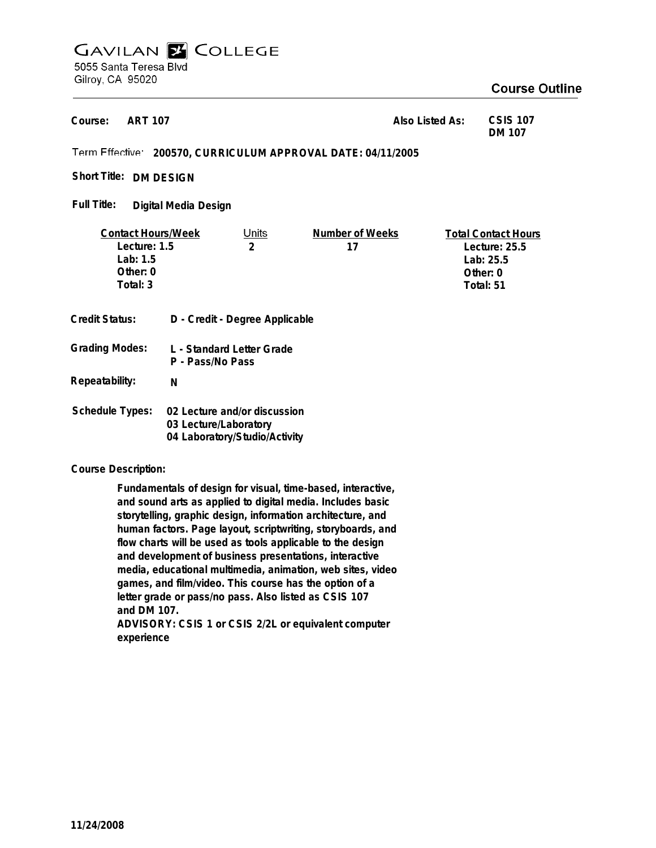# **GAVILAN E COLLEGE** 5055 Santa Teresa Blvd

Gilroy, CA 95020

# **Course Outline**

**DM 107**

**ART 107 200570, CURRICULUM APPROVAL DATE: 04/11/2005 Also Listed As: CSIS 107 Course:**

Short Title: DM DESIGN

**Digital Media Design Full Title:**

| <b>Contact Hours/Week</b> |                                               | Units                          | Number of Weeks | <b>Total Contact Hours</b> |
|---------------------------|-----------------------------------------------|--------------------------------|-----------------|----------------------------|
| Lecture: 1.5              |                                               | $\overline{2}$                 | 17              | Lecture: $25.5$            |
| Lab: $1.5$                |                                               |                                |                 | Lab: $25.5$                |
| Other: $0$                |                                               |                                |                 | Other: 0                   |
| Total: 3                  |                                               |                                |                 | Total: 51                  |
|                           |                                               |                                |                 |                            |
| Credit Status:            |                                               | D - Credit - Degree Applicable |                 |                            |
| <b>Grading Modes:</b>     | L - Standard Letter Grade<br>P - Pass/No Pass |                                |                 |                            |
| Repeatability:            | N                                             |                                |                 |                            |
| <b>Schedule Types:</b>    | 02 Lecture and/or discussion                  |                                |                 |                            |

**Course Description:**

**Fundamentals of design for visual, time-based, interactive, and sound arts as applied to digital media. Includes basic storytelling, graphic design, information architecture, and human factors. Page layout, scriptwriting, storyboards, and flow charts will be used as tools applicable to the design and development of business presentations, interactive media, educational multimedia, animation, web sites, video games, and film/video. This course has the option of a letter grade or pass/no pass. Also listed as CSIS 107 and DM 107.**

**03 Lecture/Laboratory 04 Laboratory/Studio/Activity**

**ADVISORY: CSIS 1 or CSIS 2/2L or equivalent computer experience**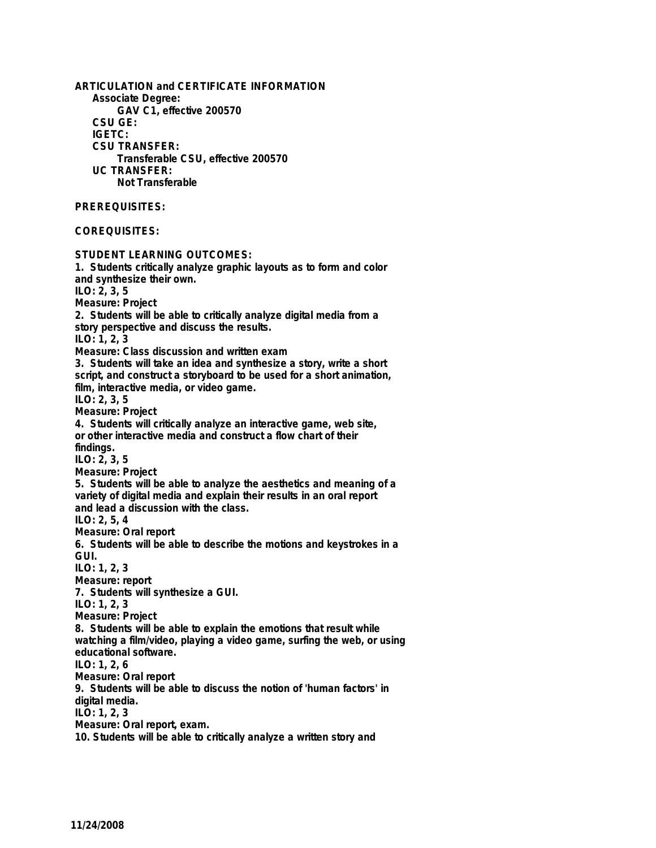**ARTICULATION and CERTIFICATE INFORMATION Associate Degree: GAV C1, effective 200570 CSU GE: IGETC: CSU TRANSFER: Transferable CSU, effective 200570 UC TRANSFER: Not Transferable PREREQUISITES: COREQUISITES: STUDENT LEARNING OUTCOMES: 1. Students critically analyze graphic layouts as to form and color and synthesize their own. ILO: 2, 3, 5 Measure: Project 2. Students will be able to critically analyze digital media from a story perspective and discuss the results. ILO: 1, 2, 3 Measure: Class discussion and written exam 3. Students will take an idea and synthesize a story, write a short script, and construct a storyboard to be used for a short animation, film, interactive media, or video game. ILO: 2, 3, 5 Measure: Project 4. Students will critically analyze an interactive game, web site, or other interactive media and construct a flow chart of their findings. ILO: 2, 3, 5 Measure: Project 5. Students will be able to analyze the aesthetics and meaning of a variety of digital media and explain their results in an oral report and lead a discussion with the class. ILO: 2, 5, 4 Measure: Oral report 6. Students will be able to describe the motions and keystrokes in a GUI. ILO: 1, 2, 3 Measure: report 7. Students will synthesize a GUI. ILO: 1, 2, 3 Measure: Project 8. Students will be able to explain the emotions that result while watching a film/video, playing a video game, surfing the web, or using educational software. ILO: 1, 2, 6 Measure: Oral report 9. Students will be able to discuss the notion of 'human factors' in digital media. ILO: 1, 2, 3 Measure: Oral report, exam. 10. Students will be able to critically analyze a written story and**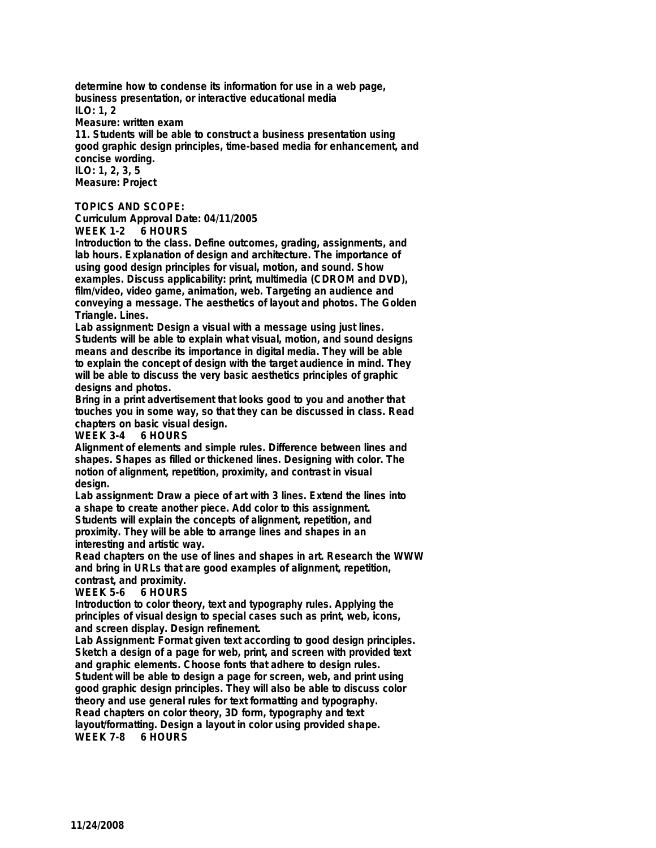**determine how to condense its information for use in a web page, business presentation, or interactive educational media ILO: 1, 2**

**Measure: written exam**

**11. Students will be able to construct a business presentation using good graphic design principles, time-based media for enhancement, and concise wording. ILO: 1, 2, 3, 5**

**Measure: Project**

#### **TOPICS AND SCOPE:**

**Curriculum Approval Date: 04/11/2005**

**WEEK 1-2 6 HOURS**

**Introduction to the class. Define outcomes, grading, assignments, and lab hours. Explanation of design and architecture. The importance of using good design principles for visual, motion, and sound. Show examples. Discuss applicability: print, multimedia (CDROM and DVD), film/video, video game, animation, web. Targeting an audience and conveying a message. The aesthetics of layout and photos. The Golden Triangle. Lines.**

**Lab assignment: Design a visual with a message using just lines. Students will be able to explain what visual, motion, and sound designs means and describe its importance in digital media. They will be able to explain the concept of design with the target audience in mind. They will be able to discuss the very basic aesthetics principles of graphic designs and photos.**

**Bring in a print advertisement that looks good to you and another that touches you in some way, so that they can be discussed in class. Read chapters on basic visual design.**

**WEEK 3-4** 

**Alignment of elements and simple rules. Difference between lines and shapes. Shapes as filled or thickened lines. Designing with color. The notion of alignment, repetition, proximity, and contrast in visual design.**

**Lab assignment: Draw a piece of art with 3 lines. Extend the lines into a shape to create another piece. Add color to this assignment. Students will explain the concepts of alignment, repetition, and**

**proximity. They will be able to arrange lines and shapes in an interesting and artistic way.**

**Read chapters on the use of lines and shapes in art. Research the WWW and bring in URLs that are good examples of alignment, repetition, contrast, and proximity.**

### **WEEK 5-6**

**Introduction to color theory, text and typography rules. Applying the principles of visual design to special cases such as print, web, icons, and screen display. Design refinement.**

**Lab Assignment: Format given text according to good design principles. Sketch a design of a page for web, print, and screen with provided text and graphic elements. Choose fonts that adhere to design rules. Student will be able to design a page for screen, web, and print using good graphic design principles. They will also be able to discuss color theory and use general rules for text formatting and typography. Read chapters on color theory, 3D form, typography and text layout/formatting. Design a layout in color using provided shape. WEEK 7-8 6 HOURS**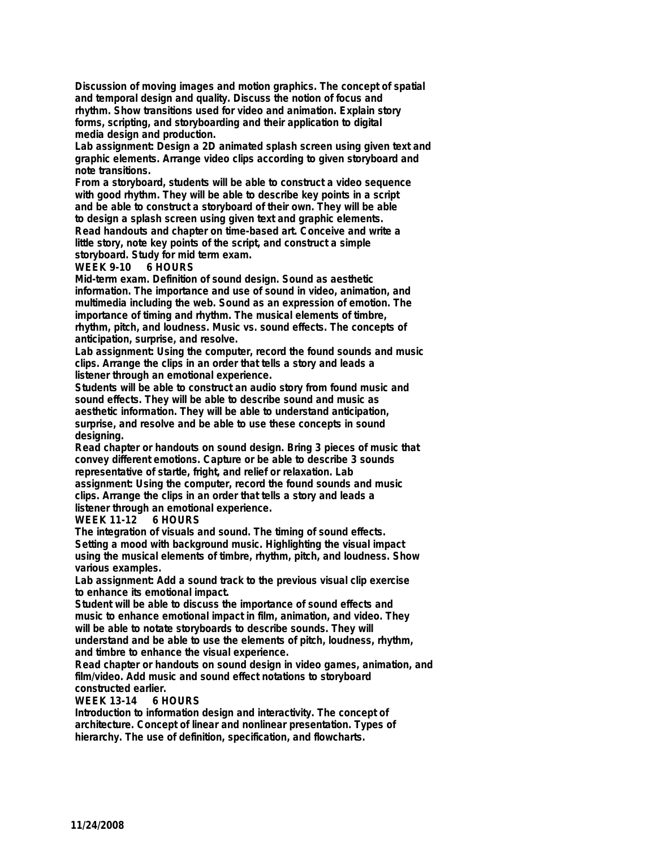**Discussion of moving images and motion graphics. The concept of spatial and temporal design and quality. Discuss the notion of focus and rhythm. Show transitions used for video and animation. Explain story forms, scripting, and storyboarding and their application to digital media design and production.**

**Lab assignment: Design a 2D animated splash screen using given text and graphic elements. Arrange video clips according to given storyboard and note transitions.**

**From a storyboard, students will be able to construct a video sequence with good rhythm. They will be able to describe key points in a script and be able to construct a storyboard of their own. They will be able to design a splash screen using given text and graphic elements. Read handouts and chapter on time-based art. Conceive and write a little story, note key points of the script, and construct a simple storyboard. Study for mid term exam.**

### **WEEK 9-10 6 HOURS**

**Mid-term exam. Definition of sound design. Sound as aesthetic information. The importance and use of sound in video, animation, and multimedia including the web. Sound as an expression of emotion. The importance of timing and rhythm. The musical elements of timbre, rhythm, pitch, and loudness. Music vs. sound effects. The concepts of anticipation, surprise, and resolve.**

**Lab assignment: Using the computer, record the found sounds and music clips. Arrange the clips in an order that tells a story and leads a listener through an emotional experience.**

**Students will be able to construct an audio story from found music and sound effects. They will be able to describe sound and music as aesthetic information. They will be able to understand anticipation, surprise, and resolve and be able to use these concepts in sound designing.**

**Read chapter or handouts on sound design. Bring 3 pieces of music that convey different emotions. Capture or be able to describe 3 sounds representative of startle, fright, and relief or relaxation. Lab assignment: Using the computer, record the found sounds and music clips. Arrange the clips in an order that tells a story and leads a listener through an emotional experience.**

## **WEEK 11-12 6 HOURS**

**The integration of visuals and sound. The timing of sound effects. Setting a mood with background music. Highlighting the visual impact using the musical elements of timbre, rhythm, pitch, and loudness. Show various examples.**

**Lab assignment: Add a sound track to the previous visual clip exercise to enhance its emotional impact.**

**Student will be able to discuss the importance of sound effects and music to enhance emotional impact in film, animation, and video. They will be able to notate storyboards to describe sounds. They will understand and be able to use the elements of pitch, loudness, rhythm, and timbre to enhance the visual experience.**

**Read chapter or handouts on sound design in video games, animation, and film/video. Add music and sound effect notations to storyboard constructed earlier.**

### **WEEK 13-14**

**Introduction to information design and interactivity. The concept of architecture. Concept of linear and nonlinear presentation. Types of hierarchy. The use of definition, specification, and flowcharts.**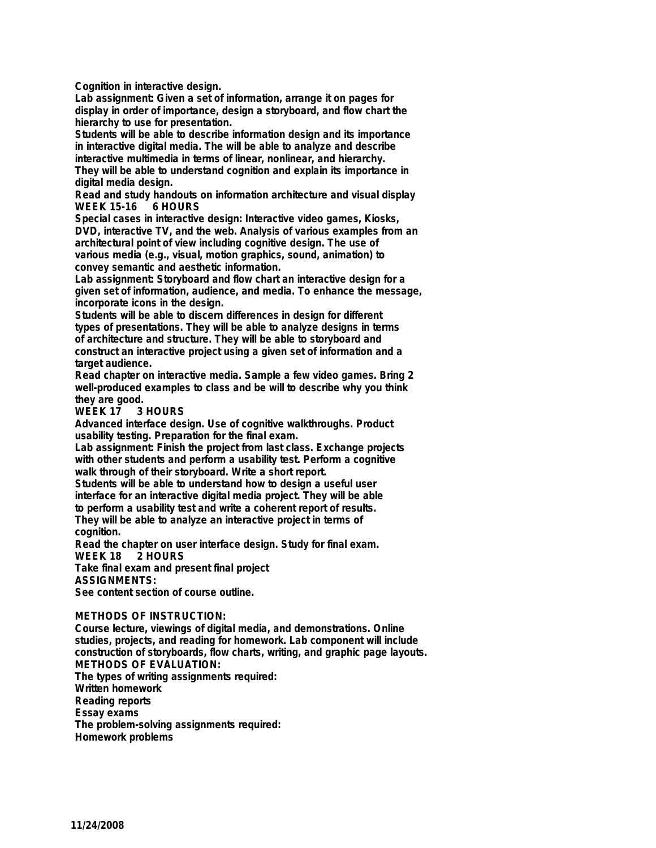**Cognition in interactive design.**

**Lab assignment: Given a set of information, arrange it on pages for display in order of importance, design a storyboard, and flow chart the hierarchy to use for presentation.**

**Students will be able to describe information design and its importance in interactive digital media. The will be able to analyze and describe interactive multimedia in terms of linear, nonlinear, and hierarchy.**

**They will be able to understand cognition and explain its importance in digital media design.**

**Read and study handouts on information architecture and visual display WEEK 15-16** 

**Special cases in interactive design: Interactive video games, Kiosks, DVD, interactive TV, and the web. Analysis of various examples from an architectural point of view including cognitive design. The use of various media (e.g., visual, motion graphics, sound, animation) to convey semantic and aesthetic information.**

**Lab assignment: Storyboard and flow chart an interactive design for a given set of information, audience, and media. To enhance the message, incorporate icons in the design.**

**Students will be able to discern differences in design for different types of presentations. They will be able to analyze designs in terms of architecture and structure. They will be able to storyboard and construct an interactive project using a given set of information and a target audience.**

**Read chapter on interactive media. Sample a few video games. Bring 2 well-produced examples to class and be will to describe why you think they are good.**

#### **WEEK 17**

**Advanced interface design. Use of cognitive walkthroughs. Product usability testing. Preparation for the final exam.**

**Lab assignment: Finish the project from last class. Exchange projects with other students and perform a usability test. Perform a cognitive walk through of their storyboard. Write a short report.**

**Students will be able to understand how to design a useful user interface for an interactive digital media project. They will be able to perform a usability test and write a coherent report of results. They will be able to analyze an interactive project in terms of**

**cognition.**

**Read the chapter on user interface design. Study for final exam. WEEK 18 2 HOURS**

**Take final exam and present final project**

**ASSIGNMENTS:**

**See content section of course outline.**

### **METHODS OF INSTRUCTION:**

**Course lecture, viewings of digital media, and demonstrations. Online studies, projects, and reading for homework. Lab component will include construction of storyboards, flow charts, writing, and graphic page layouts. METHODS OF EVALUATION: The types of writing assignments required: Written homework Reading reports Essay exams The problem-solving assignments required: Homework problems**